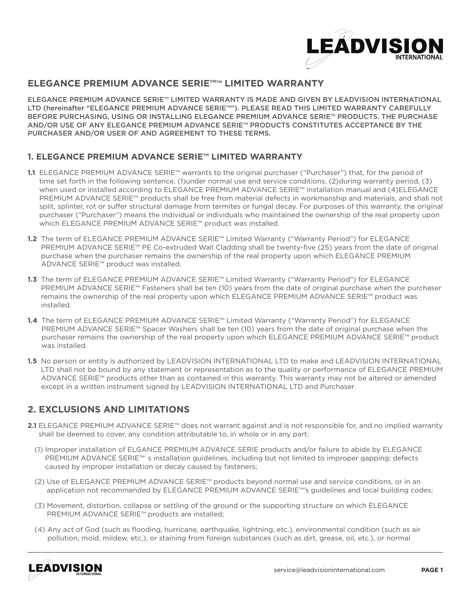

## **ELEGANCE PREMIUM ADVANCE SERIE™™ LIMITED WARRANTY**

ELEGANCE PREMIUM ADVANCE SERIE™ LIMITED WARRANTY IS MADE AND GIVEN BY LEADVISION INTERNATIONAL LTD (hereinafter "ELEGANCE PREMIUM ADVANCE SERIE™"). PLEASE READ THIS LIMITED WARRANTY CAREFULLY BEFORE PURCHASING, USING OR INSTALLING ELEGANCE PREMIUM ADVANCE SERIE™ PRODUCTS. THE PURCHASE AND/OR USE OF ANY ELEGANCE PREMIUM ADVANCE SERIE™ PRODUCTS CONSTITUTES ACCEPTANCE BY THE PURCHASER AND/OR USER OF AND AGREEMENT TO THESE TERMS.

## **1. ELEGANCE PREMIUM ADVANCE SERIE™ LIMITED WARRANTY**

- **1.1** ELEGANCE PREMIUM ADVANCE SERIE™ warrants to the original purchaser ("Purchaser") that, for the period of time set forth in the following sentence, (1)under normal use and service conditions, (2)during warranty period, (3) when used or installed according to ELEGANCE PREMIUM ADVANCE SERIE™ installation manual and (4)ELEGANCE PREMIUM ADVANCE SERIE™ products shall be free from material defects in workmanship and materials, and shall not split, splinter, rot or suffer structural damage from termites or fungal decay. For purposes of this warranty, the original purchaser ("Purchaser") means the individual or individuals who maintained the ownership of the real property upon which ELEGANCE PREMIUM ADVANCE SERIE™ product was installed.
- **1.2** The term of ELEGANCE PREMIUM ADVANCE SERIE™ Limited Warranty ("Warranty Period") for ELEGANCE PREMIUM ADVANCE SERIE™ PE Co-extruded Wall Cladding shall be twenty-five (25) years from the date of original purchase when the purchaser remains the ownership of the real property upon which ELEGANCE PREMIUM ADVANCE SERIE™ product was installed.
- **1.3** The term of ELEGANCE PREMIUM ADVANCE SERIE™ Limited Warranty ("Warranty Period") for ELEGANCE PREMIUM ADVANCE SERIE™ Fasteners shall be ten (10) years from the date of original purchase when the purchaser remains the ownership of the real property upon which ELEGANCE PREMIUM ADVANCE SERIE™ product was installed.
- **1.4** The term of ELEGANCE PREMIUM ADVANCE SERIE™ Limited Warranty ("Warranty Period") for ELEGANCE PREMIUM ADVANCE SERIE™ Spacer Washers shall be ten (10) years from the date of original purchase when the purchaser remains the ownership of the real property upon which ELEGANCE PREMIUM ADVANCE SERIE™ product was installed.
- **1.5** No person or entity is authorized by LEADVISION INTERNATIONAL LTD to make and LEADVISION INTERNATIONAL LTD shall not be bound by any statement or representation as to the quality or performance of ELEGANCE PREMIUM ADVANCE SERIE™ products other than as contained in this warranty. This warranty may not be altered or amended except in a written instrument signed by LEADVISION INTERNATIONAL LTD and Purchaser.

## **2. EXCLUSIONS AND LIMITATIONS**

- **2.1** ELEGANCE PREMIUM ADVANCE SERIE™ does not warrant against and is not responsible for, and no implied warranty shall be deemed to cover, any condition attributable to, in whole or in any part:
	- (1) Improper installation of ELGANCE PREMIUM ADVANCE SERIE products and/or failure to abide by ELEGANCE PREMIUM ADVANCE SERIE™' s installation guidelines, including but not limited to improper gapping; defects caused by improper installation or decay caused by fasteners;
	- (2) Use of ELEGANCE PREMIUM ADVANCE SERIE™ products beyond normal use and service conditions, or in an application not recommended by ELEGANCE PREMIUM ADVANCE SERIE™'s guidelines and local building codes;
	- (3) Movement, distortion, collapse or settling of the ground or the supporting structure on which ELEGANCE PREMIUM ADVANCE SERIE™ products are installed;
	- (4) Any act of God (such as flooding, hurricane, earthquake, lightning, etc.), environmental condition (such as air pollution, mold, mildew, etc.), or staining from foreign substances (such as dirt, grease, oil, etc.), or normal

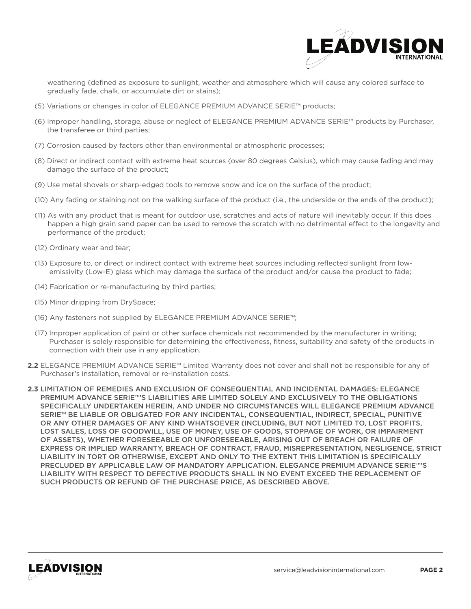

weathering (defined as exposure to sunlight, weather and atmosphere which will cause any colored surface to gradually fade, chalk, or accumulate dirt or stains);

- (5) Variations or changes in color of ELEGANCE PREMIUM ADVANCE SERIE™ products;
- (6) Improper handling, storage, abuse or neglect of ELEGANCE PREMIUM ADVANCE SERIE™ products by Purchaser, the transferee or third parties;
- (7) Corrosion caused by factors other than environmental or atmospheric processes;
- (8) Direct or indirect contact with extreme heat sources (over 80 degrees Celsius), which may cause fading and may damage the surface of the product;
- (9) Use metal shovels or sharp-edged tools to remove snow and ice on the surface of the product;
- (10) Any fading or staining not on the walking surface of the product (i.e., the underside or the ends of the product);
- (11) As with any product that is meant for outdoor use, scratches and acts of nature will inevitably occur. If this does happen a high grain sand paper can be used to remove the scratch with no detrimental effect to the longevity and performance of the product;
- (12) Ordinary wear and tear;
- (13) Exposure to, or direct or indirect contact with extreme heat sources including reflected sunlight from lowemissivity (Low-E) glass which may damage the surface of the product and/or cause the product to fade;
- (14) Fabrication or re-manufacturing by third parties;
- (15) Minor dripping from DrySpace;
- (16) Any fasteners not supplied by ELEGANCE PREMIUM ADVANCE SERIE™;
- (17) Improper application of paint or other surface chemicals not recommended by the manufacturer in writing; Purchaser is solely responsible for determining the effectiveness, fitness, suitability and safety of the products in connection with their use in any application.
- **2.2** ELEGANCE PREMIUM ADVANCE SERIE™ Limited Warranty does not cover and shall not be responsible for any of Purchaser's installation, removal or re-installation costs.
- **2.3** LIMITATION OF REMEDIES AND EXCLUSION OF CONSEQUENTIAL AND INCIDENTAL DAMAGES: ELEGANCE PREMIUM ADVANCE SERIE™'S LIABILITIES ARE LIMITED SOLELY AND EXCLUSIVELY TO THE OBLIGATIONS SPECIFICALLY UNDERTAKEN HEREIN, AND UNDER NO CIRCUMSTANCES WILL ELEGANCE PREMIUM ADVANCE SERIE™ BE LIABLE OR OBLIGATED FOR ANY INCIDENTAL, CONSEQUENTIAL, INDIRECT, SPECIAL, PUNITIVE OR ANY OTHER DAMAGES OF ANY KIND WHATSOEVER (INCLUDING, BUT NOT LIMITED TO, LOST PROFITS, LOST SALES, LOSS OF GOODWILL, USE OF MONEY, USE OF GOODS, STOPPAGE OF WORK, OR IMPAIRMENT OF ASSETS), WHETHER FORESEEABLE OR UNFORESEEABLE, ARISING OUT OF BREACH OR FAILURE OF EXPRESS OR IMPLIED WARRANTY, BREACH OF CONTRACT, FRAUD, MISREPRESENTATION, NEGLIGENCE, STRICT LIABILITY IN TORT OR OTHERWISE, EXCEPT AND ONLY TO THE EXTENT THIS LIMITATION IS SPECIFICALLY PRECLUDED BY APPLICABLE LAW OF MANDATORY APPLICATION. ELEGANCE PREMIUM ADVANCE SERIE™'S LIABILITY WITH RESPECT TO DEFECTIVE PRODUCTS SHALL IN NO EVENT EXCEED THE REPLACEMENT OF SUCH PRODUCTS OR REFUND OF THE PURCHASE PRICE, AS DESCRIBED ABOVE.